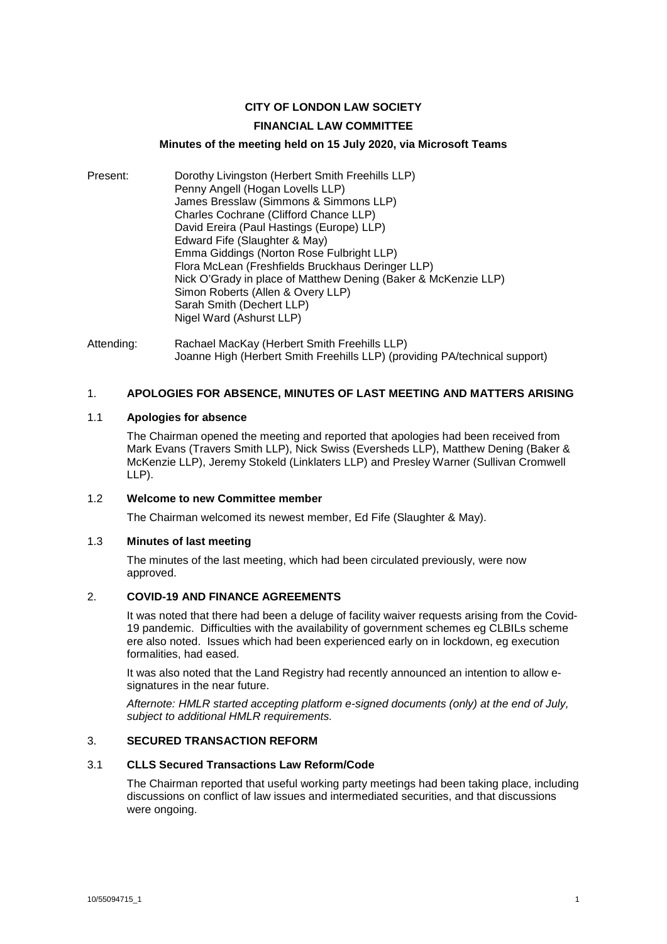# **CITY OF LONDON LAW SOCIETY**

### **FINANCIAL LAW COMMITTEE**

# **Minutes of the meeting held on 15 July 2020, via Microsoft Teams**

Present: Dorothy Livingston (Herbert Smith Freehills LLP) Penny Angell (Hogan Lovells LLP) James Bresslaw (Simmons & Simmons LLP) Charles Cochrane (Clifford Chance LLP) David Ereira (Paul Hastings (Europe) LLP) Edward Fife (Slaughter & May) Emma Giddings (Norton Rose Fulbright LLP) Flora McLean (Freshfields Bruckhaus Deringer LLP) Nick O'Grady in place of Matthew Dening (Baker & McKenzie LLP) Simon Roberts (Allen & Overy LLP) Sarah Smith (Dechert LLP) Nigel Ward (Ashurst LLP)

Attending: Rachael MacKay (Herbert Smith Freehills LLP) Joanne High (Herbert Smith Freehills LLP) (providing PA/technical support)

### 1. **APOLOGIES FOR ABSENCE, MINUTES OF LAST MEETING AND MATTERS ARISING**

# 1.1 **Apologies for absence**

The Chairman opened the meeting and reported that apologies had been received from Mark Evans (Travers Smith LLP), Nick Swiss (Eversheds LLP), Matthew Dening (Baker & McKenzie LLP), Jeremy Stokeld (Linklaters LLP) and Presley Warner (Sullivan Cromwell LLP).

# 1.2 **Welcome to new Committee member**

The Chairman welcomed its newest member, Ed Fife (Slaughter & May).

### 1.3 **Minutes of last meeting**

The minutes of the last meeting, which had been circulated previously, were now approved.

# 2. **COVID-19 AND FINANCE AGREEMENTS**

It was noted that there had been a deluge of facility waiver requests arising from the Covid-19 pandemic. Difficulties with the availability of government schemes eg CLBILs scheme ere also noted. Issues which had been experienced early on in lockdown, eg execution formalities, had eased.

It was also noted that the Land Registry had recently announced an intention to allow esignatures in the near future.

*Afternote: HMLR started accepting platform e-signed documents (only) at the end of July, subject to additional HMLR requirements.* 

#### 3. **SECURED TRANSACTION REFORM**

### 3.1 **CLLS Secured Transactions Law Reform/Code**

The Chairman reported that useful working party meetings had been taking place, including discussions on conflict of law issues and intermediated securities, and that discussions were ongoing.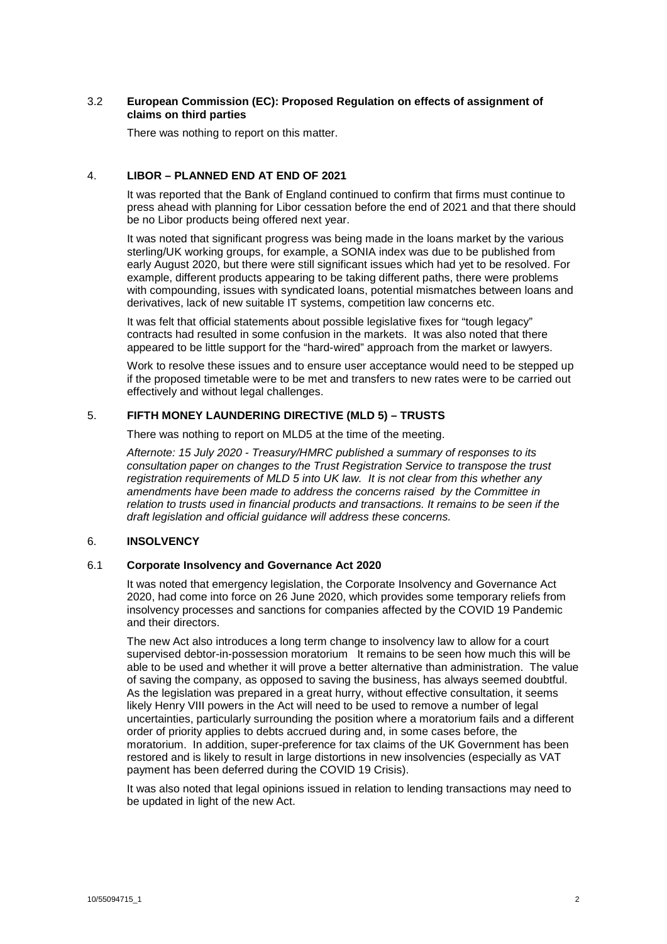# 3.2 **European Commission (EC): Proposed Regulation on effects of assignment of claims on third parties**

There was nothing to report on this matter.

# 4. **LIBOR – PLANNED END AT END OF 2021**

It was reported that the Bank of England continued to confirm that firms must continue to press ahead with planning for Libor cessation before the end of 2021 and that there should be no Libor products being offered next year.

It was noted that significant progress was being made in the loans market by the various sterling/UK working groups, for example, a SONIA index was due to be published from early August 2020, but there were still significant issues which had yet to be resolved. For example, different products appearing to be taking different paths, there were problems with compounding, issues with syndicated loans, potential mismatches between loans and derivatives, lack of new suitable IT systems, competition law concerns etc.

It was felt that official statements about possible legislative fixes for "tough legacy" contracts had resulted in some confusion in the markets. It was also noted that there appeared to be little support for the "hard-wired" approach from the market or lawyers.

Work to resolve these issues and to ensure user acceptance would need to be stepped up if the proposed timetable were to be met and transfers to new rates were to be carried out effectively and without legal challenges.

# 5. **FIFTH MONEY LAUNDERING DIRECTIVE (MLD 5) – TRUSTS**

There was nothing to report on MLD5 at the time of the meeting.

*Afternote: 15 July 2020 - Treasury/HMRC published a summary of responses to its consultation paper on changes to the Trust Registration Service to transpose the trust registration requirements of MLD 5 into UK law. It is not clear from this whether any amendments have been made to address the concerns raised by the Committee in relation to trusts used in financial products and transactions. It remains to be seen if the draft legislation and official guidance will address these concerns.*

### 6. **INSOLVENCY**

# 6.1 **Corporate Insolvency and Governance Act 2020**

It was noted that emergency legislation, the Corporate Insolvency and Governance Act 2020, had come into force on 26 June 2020, which provides some temporary reliefs from insolvency processes and sanctions for companies affected by the COVID 19 Pandemic and their directors.

The new Act also introduces a long term change to insolvency law to allow for a court supervised debtor-in-possession moratorium It remains to be seen how much this will be able to be used and whether it will prove a better alternative than administration. The value of saving the company, as opposed to saving the business, has always seemed doubtful. As the legislation was prepared in a great hurry, without effective consultation, it seems likely Henry VIII powers in the Act will need to be used to remove a number of legal uncertainties, particularly surrounding the position where a moratorium fails and a different order of priority applies to debts accrued during and, in some cases before, the moratorium. In addition, super-preference for tax claims of the UK Government has been restored and is likely to result in large distortions in new insolvencies (especially as VAT payment has been deferred during the COVID 19 Crisis).

It was also noted that legal opinions issued in relation to lending transactions may need to be updated in light of the new Act.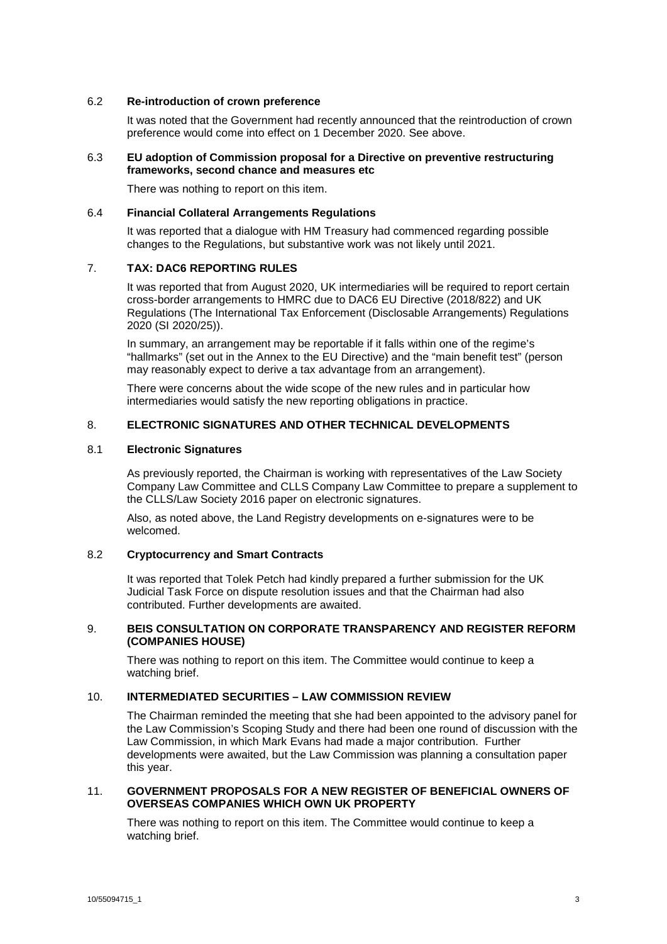### 6.2 **Re-introduction of crown preference**

It was noted that the Government had recently announced that the reintroduction of crown preference would come into effect on 1 December 2020. See above.

#### 6.3 **EU adoption of Commission proposal for a Directive on preventive restructuring frameworks, second chance and measures etc**

There was nothing to report on this item.

#### 6.4 **Financial Collateral Arrangements Regulations**

It was reported that a dialogue with HM Treasury had commenced regarding possible changes to the Regulations, but substantive work was not likely until 2021.

# 7. **TAX: DAC6 REPORTING RULES**

It was reported that from August 2020, UK intermediaries will be required to report certain cross-border arrangements to HMRC due to DAC6 EU Directive (2018/822) and UK Regulations (The International Tax Enforcement (Disclosable Arrangements) Regulations 2020 (SI 2020/25)).

In summary, an arrangement may be reportable if it falls within one of the regime's "hallmarks" (set out in the Annex to the EU Directive) and the "main benefit test" (person may reasonably expect to derive a tax advantage from an arrangement).

There were concerns about the wide scope of the new rules and in particular how intermediaries would satisfy the new reporting obligations in practice.

### 8. **ELECTRONIC SIGNATURES AND OTHER TECHNICAL DEVELOPMENTS**

#### 8.1 **Electronic Signatures**

As previously reported, the Chairman is working with representatives of the Law Society Company Law Committee and CLLS Company Law Committee to prepare a supplement to the CLLS/Law Society 2016 paper on electronic signatures.

Also, as noted above, the Land Registry developments on e-signatures were to be welcomed.

### 8.2 **Cryptocurrency and Smart Contracts**

It was reported that Tolek Petch had kindly prepared a further submission for the UK Judicial Task Force on dispute resolution issues and that the Chairman had also contributed. Further developments are awaited.

### 9. **BEIS CONSULTATION ON CORPORATE TRANSPARENCY AND REGISTER REFORM (COMPANIES HOUSE)**

There was nothing to report on this item. The Committee would continue to keep a watching brief.

# 10. **INTERMEDIATED SECURITIES – LAW COMMISSION REVIEW**

The Chairman reminded the meeting that she had been appointed to the advisory panel for the Law Commission's Scoping Study and there had been one round of discussion with the Law Commission, in which Mark Evans had made a major contribution. Further developments were awaited, but the Law Commission was planning a consultation paper this year.

### 11. **GOVERNMENT PROPOSALS FOR A NEW REGISTER OF BENEFICIAL OWNERS OF OVERSEAS COMPANIES WHICH OWN UK PROPERTY**

There was nothing to report on this item. The Committee would continue to keep a watching brief.